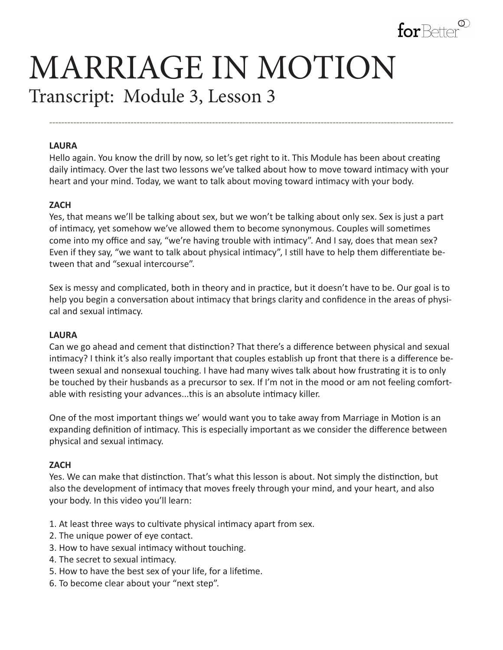

# MARRIAGE IN MOTION Transcript: Module 3, Lesson 3

#### **LAURA**

Hello again. You know the drill by now, so let's get right to it. This Module has been about creating daily intimacy. Over the last two lessons we've talked about how to move toward intimacy with your heart and your mind. Today, we want to talk about moving toward intimacy with your body.

**--------------------------------------------------------------------------------------------------------------------------------------**

### **ZACH**

Yes, that means we'll be talking about sex, but we won't be talking about only sex. Sex is just a part of intimacy, yet somehow we've allowed them to become synonymous. Couples will sometimes come into my office and say, "we're having trouble with intimacy". And I say, does that mean sex? Even if they say, "we want to talk about physical intimacy", I still have to help them differentiate between that and "sexual intercourse".

Sex is messy and complicated, both in theory and in practice, but it doesn't have to be. Our goal is to help you begin a conversation about intimacy that brings clarity and confidence in the areas of physical and sexual intimacy.

### **LAURA**

Can we go ahead and cement that distinction? That there's a difference between physical and sexual intimacy? I think it's also really important that couples establish up front that there is a difference between sexual and nonsexual touching. I have had many wives talk about how frustrating it is to only be touched by their husbands as a precursor to sex. If I'm not in the mood or am not feeling comfortable with resisting your advances...this is an absolute intimacy killer.

One of the most important things we' would want you to take away from Marriage in Motion is an expanding definition of intimacy. This is especially important as we consider the difference between physical and sexual intimacy.

### **ZACH**

Yes. We can make that distinction. That's what this lesson is about. Not simply the distinction, but also the development of intimacy that moves freely through your mind, and your heart, and also your body. In this video you'll learn:

- 1. At least three ways to cultivate physical intimacy apart from sex.
- 2. The unique power of eye contact.
- 3. How to have sexual intimacy without touching.
- 4. The secret to sexual intimacy.
- 5. How to have the best sex of your life, for a lifetime.
- 6. To become clear about your "next step".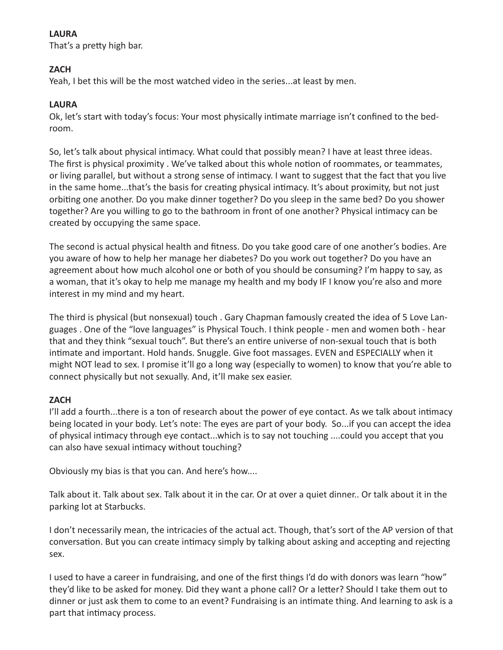## **LAURA**

That's a pretty high bar.

# **ZACH**

Yeah, I bet this will be the most watched video in the series...at least by men.

# **LAURA**

Ok, let's start with today's focus: Your most physically intimate marriage isn't confined to the bedroom.

So, let's talk about physical intimacy. What could that possibly mean? I have at least three ideas. The first is physical proximity . We've talked about this whole notion of roommates, or teammates, or living parallel, but without a strong sense of intimacy. I want to suggest that the fact that you live in the same home...that's the basis for creating physical intimacy. It's about proximity, but not just orbiting one another. Do you make dinner together? Do you sleep in the same bed? Do you shower together? Are you willing to go to the bathroom in front of one another? Physical intimacy can be created by occupying the same space.

The second is actual physical health and fitness. Do you take good care of one another's bodies. Are you aware of how to help her manage her diabetes? Do you work out together? Do you have an agreement about how much alcohol one or both of you should be consuming? I'm happy to say, as a woman, that it's okay to help me manage my health and my body IF I know you're also and more interest in my mind and my heart.

The third is physical (but nonsexual) touch . Gary Chapman famously created the idea of 5 Love Languages . One of the "love languages" is Physical Touch. I think people - men and women both - hear that and they think "sexual touch". But there's an entire universe of non-sexual touch that is both intimate and important. Hold hands. Snuggle. Give foot massages. EVEN and ESPECIALLY when it might NOT lead to sex. I promise it'll go a long way (especially to women) to know that you're able to connect physically but not sexually. And, it'll make sex easier.

## **ZACH**

I'll add a fourth...there is a ton of research about the power of eye contact. As we talk about intimacy being located in your body. Let's note: The eyes are part of your body. So...if you can accept the idea of physical intimacy through eye contact...which is to say not touching ....could you accept that you can also have sexual intimacy without touching?

Obviously my bias is that you can. And here's how....

Talk about it. Talk about sex. Talk about it in the car. Or at over a quiet dinner.. Or talk about it in the parking lot at Starbucks.

I don't necessarily mean, the intricacies of the actual act. Though, that's sort of the AP version of that conversation. But you can create intimacy simply by talking about asking and accepting and rejecting sex.

I used to have a career in fundraising, and one of the first things I'd do with donors was learn "how" they'd like to be asked for money. Did they want a phone call? Or a letter? Should I take them out to dinner or just ask them to come to an event? Fundraising is an intimate thing. And learning to ask is a part that intimacy process.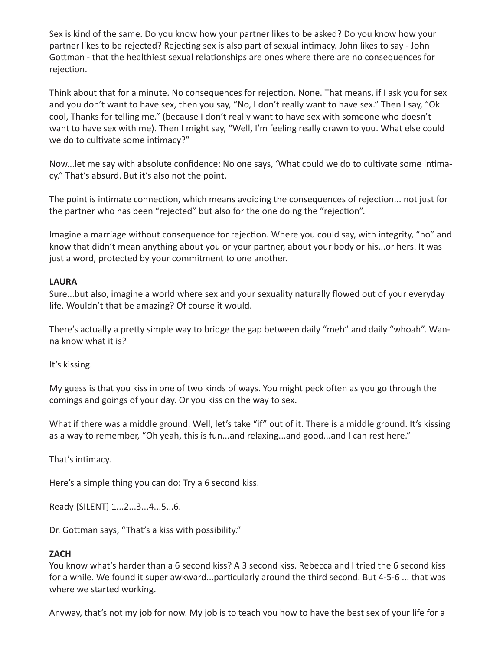Sex is kind of the same. Do you know how your partner likes to be asked? Do you know how your partner likes to be rejected? Rejecting sex is also part of sexual intimacy. John likes to say - John Gottman - that the healthiest sexual relationships are ones where there are no consequences for rejection.

Think about that for a minute. No consequences for rejection. None. That means, if I ask you for sex and you don't want to have sex, then you say, "No, I don't really want to have sex." Then I say, "Ok cool, Thanks for telling me." (because I don't really want to have sex with someone who doesn't want to have sex with me). Then I might say, "Well, I'm feeling really drawn to you. What else could we do to cultivate some intimacy?"

Now...let me say with absolute confidence: No one says, 'What could we do to cultivate some intimacy." That's absurd. But it's also not the point.

The point is intimate connection, which means avoiding the consequences of rejection... not just for the partner who has been "rejected" but also for the one doing the "rejection".

Imagine a marriage without consequence for rejection. Where you could say, with integrity, "no" and know that didn't mean anything about you or your partner, about your body or his...or hers. It was just a word, protected by your commitment to one another.

## **LAURA**

Sure...but also, imagine a world where sex and your sexuality naturally flowed out of your everyday life. Wouldn't that be amazing? Of course it would.

There's actually a pretty simple way to bridge the gap between daily "meh" and daily "whoah". Wanna know what it is?

It's kissing.

My guess is that you kiss in one of two kinds of ways. You might peck often as you go through the comings and goings of your day. Or you kiss on the way to sex.

What if there was a middle ground. Well, let's take "if" out of it. There is a middle ground. It's kissing as a way to remember, "Oh yeah, this is fun...and relaxing...and good...and I can rest here."

That's intimacy.

Here's a simple thing you can do: Try a 6 second kiss.

Ready {SILENT] 1...2...3...4...5...6.

Dr. Gottman says, "That's a kiss with possibility."

## **ZACH**

You know what's harder than a 6 second kiss? A 3 second kiss. Rebecca and I tried the 6 second kiss for a while. We found it super awkward...particularly around the third second. But 4-5-6 ... that was where we started working.

Anyway, that's not my job for now. My job is to teach you how to have the best sex of your life for a